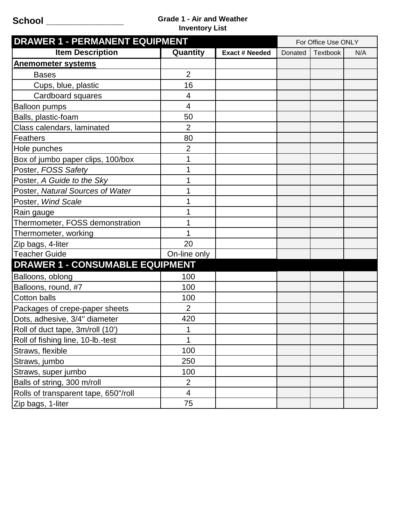## **School \_\_\_\_\_\_\_\_\_\_\_\_\_\_\_ Grade 1 - Air and Weather Inventory List**

| <b>DRAWER 1 - PERMANENT EQUIPMENT</b>  |                          |                       | For Office Use ONLY |          |     |
|----------------------------------------|--------------------------|-----------------------|---------------------|----------|-----|
| <b>Item Description</b>                | Quantity                 | <b>Exact # Needed</b> | Donated             | Textbook | N/A |
| <b>Anemometer systems</b>              |                          |                       |                     |          |     |
| <b>Bases</b>                           | $\overline{2}$           |                       |                     |          |     |
| Cups, blue, plastic                    | 16                       |                       |                     |          |     |
| Cardboard squares                      | 4                        |                       |                     |          |     |
| <b>Balloon pumps</b>                   | $\overline{\mathcal{A}}$ |                       |                     |          |     |
| Balls, plastic-foam                    | 50                       |                       |                     |          |     |
| Class calendars, laminated             | $\overline{2}$           |                       |                     |          |     |
| <b>Feathers</b>                        | 80                       |                       |                     |          |     |
| Hole punches                           | 2                        |                       |                     |          |     |
| Box of jumbo paper clips, 100/box      | 1                        |                       |                     |          |     |
| Poster, FOSS Safety                    | 1                        |                       |                     |          |     |
| Poster, A Guide to the Sky             | 1                        |                       |                     |          |     |
| Poster, Natural Sources of Water       |                          |                       |                     |          |     |
| Poster, Wind Scale                     |                          |                       |                     |          |     |
| Rain gauge                             |                          |                       |                     |          |     |
| Thermometer, FOSS demonstration        |                          |                       |                     |          |     |
| Thermometer, working                   |                          |                       |                     |          |     |
| Zip bags, 4-liter                      | 20                       |                       |                     |          |     |
| <b>Teacher Guide</b>                   | On-line only             |                       |                     |          |     |
| <b>DRAWER 1 - CONSUMABLE EQUIPMENT</b> |                          |                       |                     |          |     |
| Balloons, oblong                       | 100                      |                       |                     |          |     |
| Balloons, round, #7                    | 100                      |                       |                     |          |     |
| <b>Cotton balls</b>                    | 100                      |                       |                     |          |     |
| Packages of crepe-paper sheets         | $\overline{2}$           |                       |                     |          |     |
| Dots, adhesive, 3/4" diameter          | 420                      |                       |                     |          |     |
| Roll of duct tape, 3m/roll (10')       | 1                        |                       |                     |          |     |
| Roll of fishing line, 10-lb.-test      | 1                        |                       |                     |          |     |
| Straws, flexible                       | 100                      |                       |                     |          |     |
| Straws, jumbo                          | 250                      |                       |                     |          |     |
| Straws, super jumbo                    | 100                      |                       |                     |          |     |
| Balls of string, 300 m/roll            | $\overline{2}$           |                       |                     |          |     |
| Rolls of transparent tape, 650"/roll   | $\overline{4}$           |                       |                     |          |     |
| Zip bags, 1-liter                      | 75                       |                       |                     |          |     |